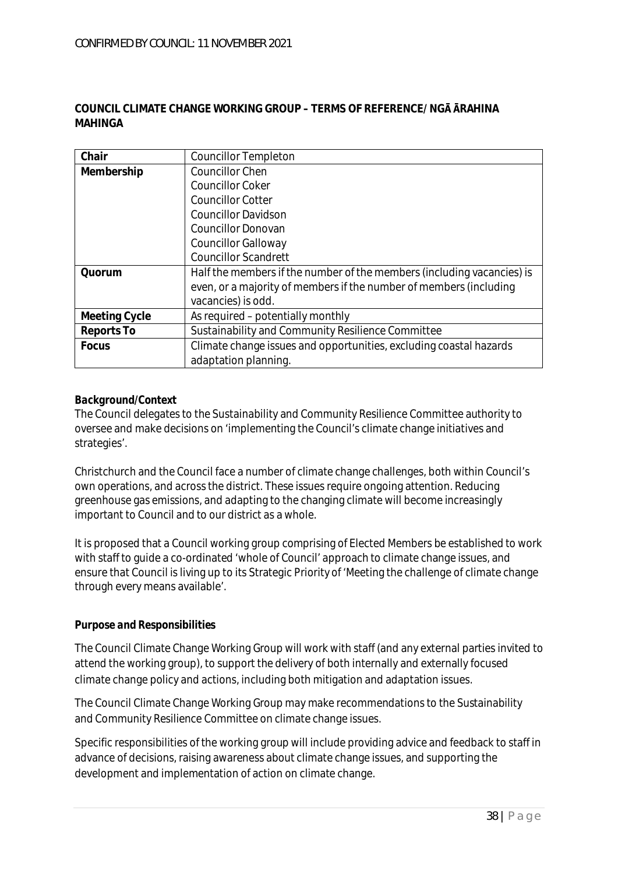## **COUNCIL CLIMATE CHANGE WORKING GROUP – TERMS OF REFERENCE/ NG RAHINA MAHINGA**

| Chair         | <b>Councillor Templeton</b>                                            |
|---------------|------------------------------------------------------------------------|
| Membership    | <b>Councillor Chen</b>                                                 |
|               | <b>Councillor Coker</b>                                                |
|               | <b>Councillor Cotter</b>                                               |
|               | <b>Councillor Davidson</b>                                             |
|               | <b>Councillor Donovan</b>                                              |
|               | <b>Councillor Galloway</b>                                             |
|               | <b>Councillor Scandrett</b>                                            |
| Quorum        | Half the members if the number of the members (including vacancies) is |
|               | even, or a majority of members if the number of members (including     |
|               | vacancies) is odd.                                                     |
| Meeting Cycle | As required – potentially monthly                                      |
| Reports To    | Sustainability and Community Resilience Committee                      |
| Focus         | Climate change issues and opportunities, excluding coastal hazards     |
|               | adaptation planning.                                                   |

# *Background/Context*

The Council delegates to the Sustainability and Community Resilience Committee authority to oversee and make decisions on 'implementing the Council's climate change initiatives and strategies'.

Christchurch and the Council face a number of climate change challenges, both within Council's own operations, and across the district. These issues require ongoing attention. Reducing greenhouse gas emissions, and adapting to the changing climate will become increasingly important to Council and to our district as a whole.

It is proposed that a Council working group comprising of Elected Members be established to work with staff to guide a co-ordinated 'whole of Council' approach to climate change issues, and ensure that Council is living up to its Strategic Priority of 'Meeting the challenge of climate change through every means available'.

# *Purpose and Responsibilities*

The Council Climate Change Working Group will work with staff (and any external parties invited to attend the working group), to support the delivery of both internally and externally focused climate change policy and actions, including both mitigation and adaptation issues.

The Council Climate Change Working Group may make recommendations to the Sustainability and Community Resilience Committee on climate change issues.

Specific responsibilities of the working group will include providing advice and feedback to staff in advance of decisions, raising awareness about climate change issues, and supporting the development and implementation of action on climate change.